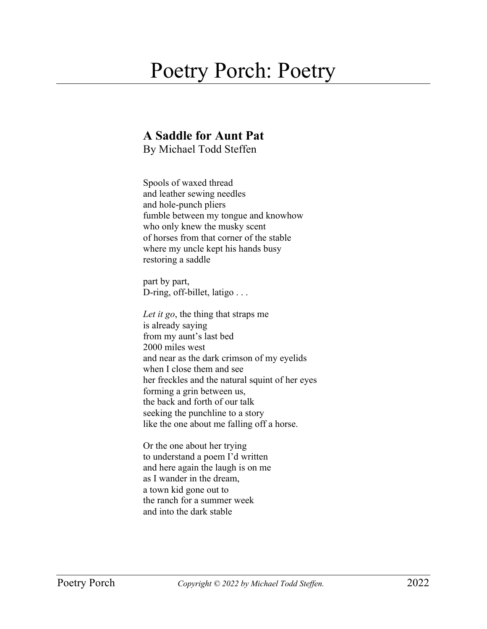## Poetry Porch: Poetry

## **A Saddle for Aunt Pat**

By Michael Todd Steffen

Spools of waxed thread and leather sewing needles and hole-punch pliers fumble between my tongue and knowhow who only knew the musky scent of horses from that corner of the stable where my uncle kept his hands busy restoring a saddle

part by part, D-ring, off-billet, latigo . . .

*Let it go*, the thing that straps me is already saying from my aunt's last bed 2000 miles west and near as the dark crimson of my eyelids when I close them and see her freckles and the natural squint of her eyes forming a grin between us, the back and forth of our talk seeking the punchline to a story like the one about me falling off a horse.

Or the one about her trying to understand a poem I'd written and here again the laugh is on me as I wander in the dream, a town kid gone out to the ranch for a summer week and into the dark stable